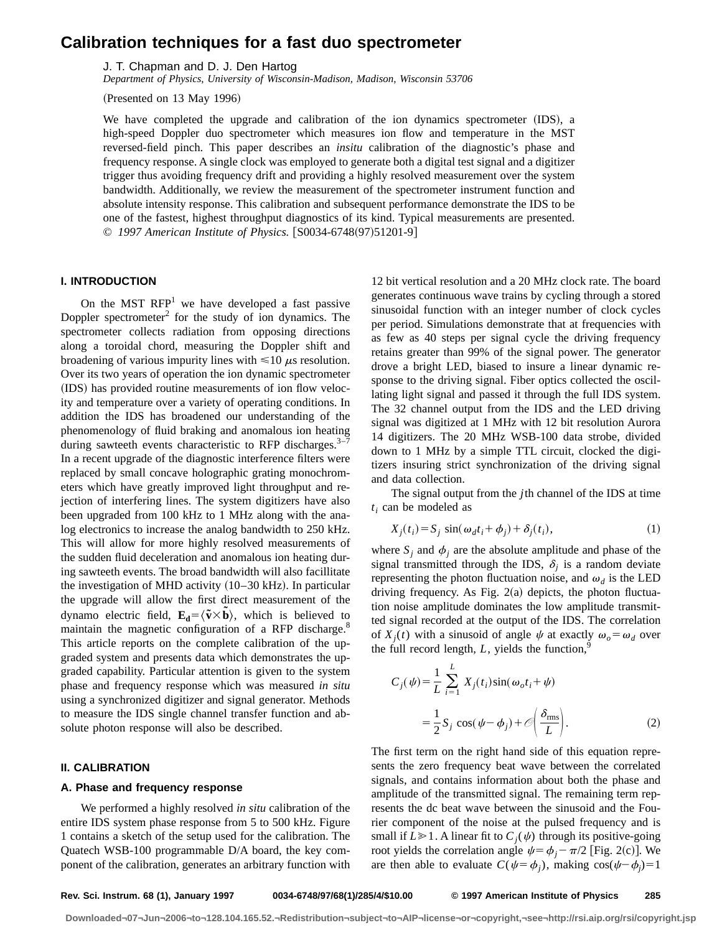# **Calibration techniques for a fast duo spectrometer**

J. T. Chapman and D. J. Den Hartog

*Department of Physics, University of Wisconsin-Madison, Madison, Wisconsin 53706*

 $(Presented on 13 May 1996)$ 

We have completed the upgrade and calibration of the ion dynamics spectrometer  $(IDS)$ , a high-speed Doppler duo spectrometer which measures ion flow and temperature in the MST reversed-field pinch. This paper describes an *insitu* calibration of the diagnostic's phase and frequency response. A single clock was employed to generate both a digital test signal and a digitizer trigger thus avoiding frequency drift and providing a highly resolved measurement over the system bandwidth. Additionally, we review the measurement of the spectrometer instrument function and absolute intensity response. This calibration and subsequent performance demonstrate the IDS to be one of the fastest, highest throughput diagnostics of its kind. Typical measurements are presented. © 1997 American Institute of Physics. [S0034-6748(97)51201-9]

# **I. INTRODUCTION**

On the MST  $RFP<sup>1</sup>$  we have developed a fast passive Doppler spectrometer<sup>2</sup> for the study of ion dynamics. The spectrometer collects radiation from opposing directions along a toroidal chord, measuring the Doppler shift and broadening of various impurity lines with  $\leq 10 \mu s$  resolution. Over its two years of operation the ion dynamic spectrometer (IDS) has provided routine measurements of ion flow velocity and temperature over a variety of operating conditions. In addition the IDS has broadened our understanding of the phenomenology of fluid braking and anomalous ion heating during sawteeth events characteristic to RFP discharges.  $3-7$ In a recent upgrade of the diagnostic interference filters were replaced by small concave holographic grating monochrometers which have greatly improved light throughput and rejection of interfering lines. The system digitizers have also been upgraded from 100 kHz to 1 MHz along with the analog electronics to increase the analog bandwidth to 250 kHz. This will allow for more highly resolved measurements of the sudden fluid deceleration and anomalous ion heating during sawteeth events. The broad bandwidth will also facillitate the investigation of MHD activity  $(10-30 \text{ kHz})$ . In particular the upgrade will allow the first direct measurement of the dynamo electric field,  $\mathbf{E}_d = \langle \tilde{\mathbf{v}} \times \tilde{\mathbf{b}} \rangle$ , which is believed to maintain the magnetic configuration of a RFP discharge.<sup>8</sup> This article reports on the complete calibration of the upgraded system and presents data which demonstrates the upgraded capability. Particular attention is given to the system phase and frequency response which was measured *in situ* using a synchronized digitizer and signal generator. Methods to measure the IDS single channel transfer function and absolute photon response will also be described.

# **II. CALIBRATION**

### **A. Phase and frequency response**

We performed a highly resolved *in situ* calibration of the entire IDS system phase response from 5 to 500 kHz. Figure 1 contains a sketch of the setup used for the calibration. The Quatech WSB-100 programmable D/A board, the key component of the calibration, generates an arbitrary function with 12 bit vertical resolution and a 20 MHz clock rate. The board generates continuous wave trains by cycling through a stored sinusoidal function with an integer number of clock cycles per period. Simulations demonstrate that at frequencies with as few as 40 steps per signal cycle the driving frequency retains greater than 99% of the signal power. The generator drove a bright LED, biased to insure a linear dynamic response to the driving signal. Fiber optics collected the oscillating light signal and passed it through the full IDS system. The 32 channel output from the IDS and the LED driving signal was digitized at 1 MHz with 12 bit resolution Aurora 14 digitizers. The 20 MHz WSB-100 data strobe, divided down to 1 MHz by a simple TTL circuit, clocked the digitizers insuring strict synchronization of the driving signal and data collection.

The signal output from the *j*th channel of the IDS at time *ti* can be modeled as

$$
X_j(t_i) = S_j \sin(\omega_d t_i + \phi_j) + \delta_j(t_i), \tag{1}
$$

where  $S_i$  and  $\phi_j$  are the absolute amplitude and phase of the signal transmitted through the IDS,  $\delta_i$  is a random deviate representing the photon fluctuation noise, and  $\omega_d$  is the LED driving frequency. As Fig.  $2(a)$  depicts, the photon fluctuation noise amplitude dominates the low amplitude transmitted signal recorded at the output of the IDS. The correlation of  $X_i(t)$  with a sinusoid of angle  $\psi$  at exactly  $\omega_o = \omega_d$  over the full record length,  $L$ , yields the function,<sup>9</sup>

$$
C_j(\psi) = \frac{1}{L} \sum_{i=1}^{L} X_j(t_i) \sin(\omega_o t_i + \psi)
$$
  
= 
$$
\frac{1}{2} S_j \cos(\psi - \phi_j) + \mathcal{O}\left(\frac{\delta_{\text{rms}}}{L}\right).
$$
 (2)

The first term on the right hand side of this equation represents the zero frequency beat wave between the correlated signals, and contains information about both the phase and amplitude of the transmitted signal. The remaining term represents the dc beat wave between the sinusoid and the Fourier component of the noise at the pulsed frequency and is small if  $L \ge 1$ . A linear fit to  $C_i(\psi)$  through its positive-going root yields the correlation angle  $\psi = \phi_j - \pi/2$  [Fig. 2(c)]. We are then able to evaluate  $C(\psi = \phi_j)$ , making  $\cos(\psi - \phi_j) = 1$ 

**Rev. Sci. Instrum. 68 (1), January 1997 0034-6748/97/68(1)/285/4/\$10.00 © 1997 American Institute of Physics 285**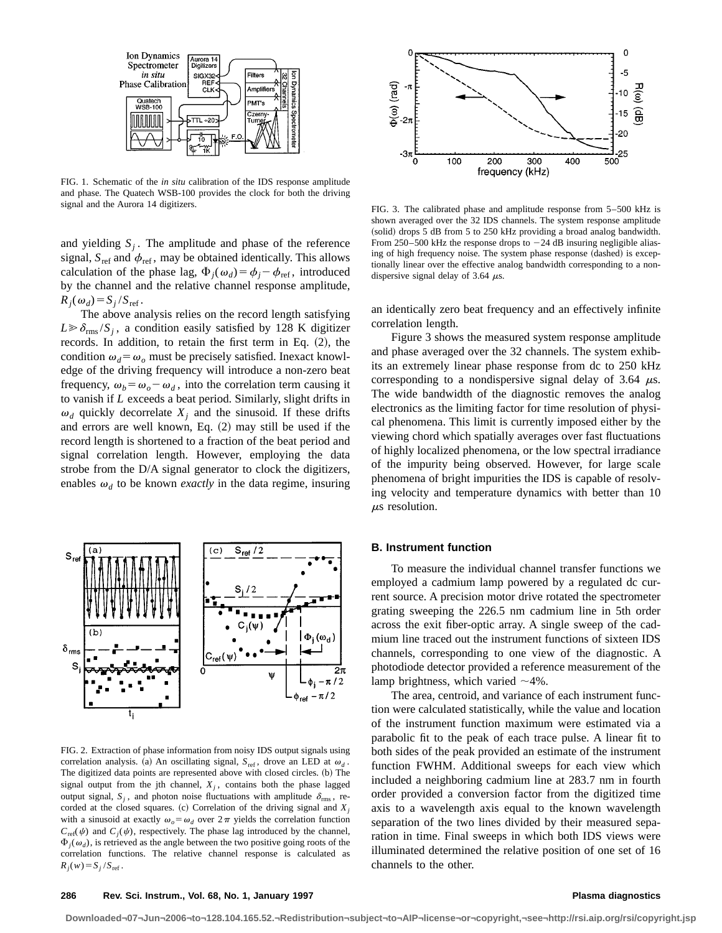

FIG. 1. Schematic of the *in situ* calibration of the IDS response amplitude and phase. The Quatech WSB-100 provides the clock for both the driving signal and the Aurora 14 digitizers.

and yielding  $S_i$ . The amplitude and phase of the reference signal,  $S_{\text{ref}}$  and  $\phi_{\text{ref}}$ , may be obtained identically. This allows calculation of the phase lag,  $\Phi_i(\omega_d) = \phi_i - \phi_{ref}$ , introduced by the channel and the relative channel response amplitude,  $R_i(\omega_d) = S_i/S_{\text{ref}}$ .

The above analysis relies on the record length satisfying  $L \gg \delta_{\rm rms}/S_i$ , a condition easily satisfied by 128 K digitizer records. In addition, to retain the first term in Eq.  $(2)$ , the condition  $\omega_d = \omega_o$  must be precisely satisfied. Inexact knowledge of the driving frequency will introduce a non-zero beat frequency,  $\omega_b = \omega_o - \omega_d$ , into the correlation term causing it to vanish if *L* exceeds a beat period. Similarly, slight drifts in  $\omega_d$  quickly decorrelate  $X_i$  and the sinusoid. If these drifts and errors are well known, Eq.  $(2)$  may still be used if the record length is shortened to a fraction of the beat period and signal correlation length. However, employing the data strobe from the D/A signal generator to clock the digitizers, enables  $\omega_d$  to be known *exactly* in the data regime, insuring



FIG. 2. Extraction of phase information from noisy IDS output signals using correlation analysis. (a) An oscillating signal,  $S_{ref}$ , drove an LED at  $\omega_d$ . The digitized data points are represented above with closed circles. (b) The signal output from the jth channel,  $X_i$ , contains both the phase lagged output signal,  $S_i$ , and photon noise fluctuations with amplitude  $\delta_{\rm rms}$ , recorded at the closed squares. (c) Correlation of the driving signal and  $X_j$ with a sinusoid at exactly  $\omega_0 = \omega_d$  over  $2\pi$  yields the correlation function  $C_{ref}(\psi)$  and  $C_i(\psi)$ , respectively. The phase lag introduced by the channel,  $\Phi_i(\omega_d)$ , is retrieved as the angle between the two positive going roots of the correlation functions. The relative channel response is calculated as  $R_j(w) = S_j / S_{\text{ref}}$ .



FIG. 3. The calibrated phase and amplitude response from 5–500 kHz is shown averaged over the 32 IDS channels. The system response amplitude (solid) drops 5 dB from 5 to 250 kHz providing a broad analog bandwidth. From 250–500 kHz the response drops to  $-24$  dB insuring negligible aliasing of high frequency noise. The system phase response (dashed) is exceptionally linear over the effective analog bandwidth corresponding to a nondispersive signal delay of 3.64  $\mu$ s.

an identically zero beat frequency and an effectively infinite correlation length.

Figure 3 shows the measured system response amplitude and phase averaged over the 32 channels. The system exhibits an extremely linear phase response from dc to 250 kHz corresponding to a nondispersive signal delay of 3.64  $\mu$ s. The wide bandwidth of the diagnostic removes the analog electronics as the limiting factor for time resolution of physical phenomena. This limit is currently imposed either by the viewing chord which spatially averages over fast fluctuations of highly localized phenomena, or the low spectral irradiance of the impurity being observed. However, for large scale phenomena of bright impurities the IDS is capable of resolving velocity and temperature dynamics with better than 10  $\mu$ s resolution.

## **B. Instrument function**

To measure the individual channel transfer functions we employed a cadmium lamp powered by a regulated dc current source. A precision motor drive rotated the spectrometer grating sweeping the 226.5 nm cadmium line in 5th order across the exit fiber-optic array. A single sweep of the cadmium line traced out the instrument functions of sixteen IDS channels, corresponding to one view of the diagnostic. A photodiode detector provided a reference measurement of the lamp brightness, which varied  $\sim$ 4%.

The area, centroid, and variance of each instrument function were calculated statistically, while the value and location of the instrument function maximum were estimated via a parabolic fit to the peak of each trace pulse. A linear fit to both sides of the peak provided an estimate of the instrument function FWHM. Additional sweeps for each view which included a neighboring cadmium line at 283.7 nm in fourth order provided a conversion factor from the digitized time axis to a wavelength axis equal to the known wavelength separation of the two lines divided by their measured separation in time. Final sweeps in which both IDS views were illuminated determined the relative position of one set of 16 channels to the other.

**Downloaded¬07¬Jun¬2006¬to¬128.104.165.52.¬Redistribution¬subject¬to¬AIP¬license¬or¬copyright,¬see¬http://rsi.aip.org/rsi/copyright.jsp**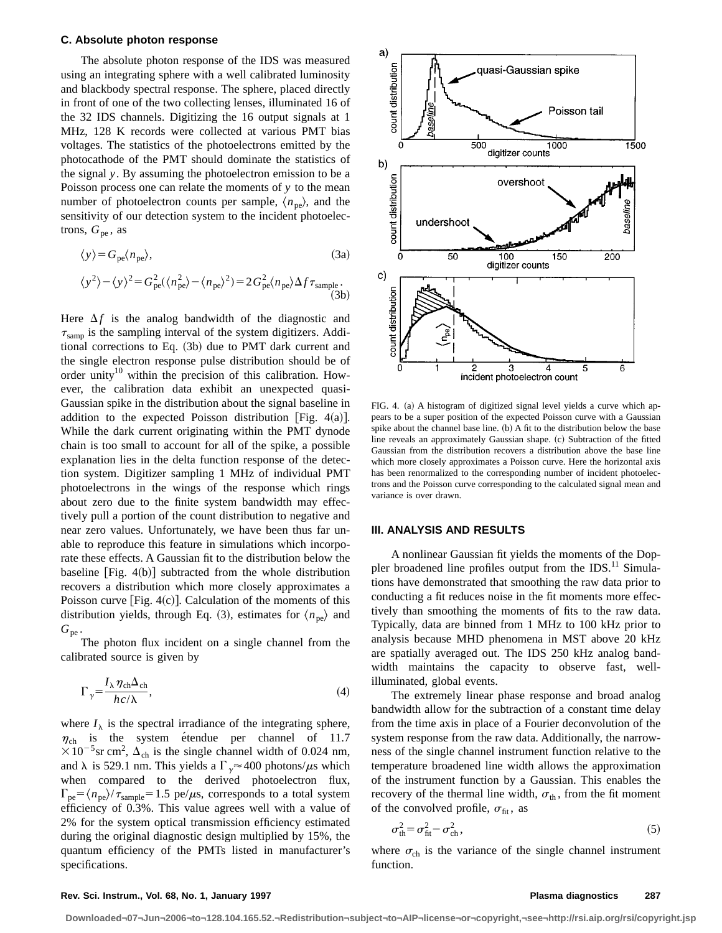# **C. Absolute photon response**

The absolute photon response of the IDS was measured using an integrating sphere with a well calibrated luminosity and blackbody spectral response. The sphere, placed directly in front of one of the two collecting lenses, illuminated 16 of the 32 IDS channels. Digitizing the 16 output signals at 1 MHz, 128 K records were collected at various PMT bias voltages. The statistics of the photoelectrons emitted by the photocathode of the PMT should dominate the statistics of the signal *y*. By assuming the photoelectron emission to be a Poisson process one can relate the moments of *y* to the mean number of photoelectron counts per sample,  $\langle n_{pe} \rangle$ , and the sensitivity of our detection system to the incident photoelectrons,  $G_{pe}$ , as

$$
\langle y \rangle = G_{\text{pe}} \langle n_{\text{pe}} \rangle,\tag{3a}
$$

$$
\langle y^2 \rangle - \langle y \rangle^2 = G_{\text{pe}}^2 (\langle n_{\text{pe}}^2 \rangle - \langle n_{\text{pe}} \rangle^2) = 2 G_{\text{pe}}^2 \langle n_{\text{pe}} \rangle \Delta f \tau_{\text{sample}}.
$$
\n(3b)

Here  $\Delta f$  is the analog bandwidth of the diagnostic and  $\tau_{\text{ samp}}$  is the sampling interval of the system digitizers. Additional corrections to Eq.  $(3b)$  due to PMT dark current and the single electron response pulse distribution should be of order unity<sup>10</sup> within the precision of this calibration. However, the calibration data exhibit an unexpected quasi-Gaussian spike in the distribution about the signal baseline in addition to the expected Poisson distribution [Fig.  $4(a)$ ]. While the dark current originating within the PMT dynode chain is too small to account for all of the spike, a possible explanation lies in the delta function response of the detection system. Digitizer sampling 1 MHz of individual PMT photoelectrons in the wings of the response which rings about zero due to the finite system bandwidth may effectively pull a portion of the count distribution to negative and near zero values. Unfortunately, we have been thus far unable to reproduce this feature in simulations which incorporate these effects. A Gaussian fit to the distribution below the baseline  $[Fig. 4(b)]$  subtracted from the whole distribution recovers a distribution which more closely approximates a Poisson curve [Fig.  $4(c)$ ]. Calculation of the moments of this distribution yields, through Eq. (3), estimates for  $\langle n_{pe} \rangle$  and  $G_{\rm pe}$  .

The photon flux incident on a single channel from the calibrated source is given by

$$
\Gamma_{\gamma} = \frac{I_{\lambda} \eta_{\rm ch} \Delta_{\rm ch}}{hc / \lambda},\tag{4}
$$

where  $I_{\lambda}$  is the spectral irradiance of the integrating sphere,  $\eta_{ch}$  is the system étendue per channel of 11.7  $\times 10^{-5}$ sr cm<sup>2</sup>,  $\Delta_{ch}$  is the single channel width of 0.024 nm, and  $\lambda$  is 529.1 nm. This yields a  $\Gamma_{\gamma} \approx 400$  photons/ $\mu$ s which when compared to the derived photoelectron flux,  $\Gamma_{\text{pe}} = \langle n_{\text{pe}} \rangle / \tau_{\text{sample}} = 1.5 \text{ pe/}\mu\text{s}$ , corresponds to a total system efficiency of 0.3%. This value agrees well with a value of 2% for the system optical transmission efficiency estimated during the original diagnostic design multiplied by 15%, the quantum efficiency of the PMTs listed in manufacturer's specifications.



FIG. 4. (a) A histogram of digitized signal level yields a curve which appears to be a super position of the expected Poisson curve with a Gaussian spike about the channel base line. (b) A fit to the distribution below the base line reveals an approximately Gaussian shape. (c) Subtraction of the fitted Gaussian from the distribution recovers a distribution above the base line which more closely approximates a Poisson curve. Here the horizontal axis has been renormalized to the corresponding number of incident photoelectrons and the Poisson curve corresponding to the calculated signal mean and variance is over drawn.

### **III. ANALYSIS AND RESULTS**

A nonlinear Gaussian fit yields the moments of the Doppler broadened line profiles output from the IDS.<sup>11</sup> Simulations have demonstrated that smoothing the raw data prior to conducting a fit reduces noise in the fit moments more effectively than smoothing the moments of fits to the raw data. Typically, data are binned from 1 MHz to 100 kHz prior to analysis because MHD phenomena in MST above 20 kHz are spatially averaged out. The IDS 250 kHz analog bandwidth maintains the capacity to observe fast, wellilluminated, global events.

The extremely linear phase response and broad analog bandwidth allow for the subtraction of a constant time delay from the time axis in place of a Fourier deconvolution of the system response from the raw data. Additionally, the narrowness of the single channel instrument function relative to the temperature broadened line width allows the approximation of the instrument function by a Gaussian. This enables the recovery of the thermal line width,  $\sigma_{th}$ , from the fit moment of the convolved profile,  $\sigma_{\text{fit}}$ , as

$$
\sigma_{\text{th}}^2 = \sigma_{\text{fit}}^2 - \sigma_{\text{ch}}^2,\tag{5}
$$

where  $\sigma_{ch}$  is the variance of the single channel instrument function.

### **Rev. Sci. Instrum., Vol. 68, No. 1, January 1997 Plasma diagnostics 287**

**Downloaded¬07¬Jun¬2006¬to¬128.104.165.52.¬Redistribution¬subject¬to¬AIP¬license¬or¬copyright,¬see¬http://rsi.aip.org/rsi/copyright.jsp**